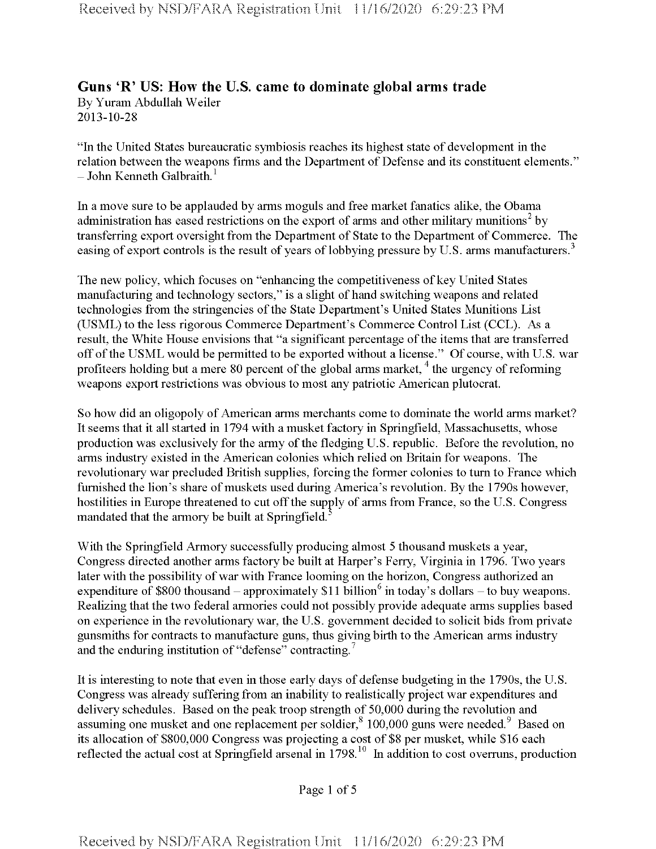## **Guns 'R' US: How the U.S. came to dominate global arms trade** By Yuram Abdullah Weiler 2013-10-28

"In the United States bureaucratic symbiosis reaches its highest state of development in the relation between the weapons firms and the Department of Defense and its constituent elements."  $-$  John Kenneth Galbraith.<sup>1</sup>

In a move sure to be applauded by arms moguls and free market fanatics alike, the Obama administration has eased restrictions on the export of arms and other military munitions<sup>2</sup> by transferring export oversight from the Department of State to the Department of Commerce. The easing of export controls is the result of years of lobbying pressure by U.S. arms manufacturers.<sup>3</sup>

The new policy, which focuses on "enhancing the competitiveness of key United States" manufacturing and technology sectors," is a slight of hand switching weapons and related technologies from the stringencies of the State Department's United States Munitions List (USML) to the less rigorous Commerce Department's Commerce Control List (CCL). As a result, the White House envisions that "a significant percentage of the items that are transferred off of the USML would be permitted to be exported without a license." Of course, with U.S. war profiteers holding but a mere 80 percent of the global arms market,<sup>4</sup> the urgency of reforming weapons export restrictions was obvious to most any patriotic American plutocrat.

So how did an oligopoly of American arms merchants come to dominate the world arms market? It seems that it all started in 1794 with a musket factory in Springfield, Massachusetts, whose production was exclusively for the army of the fledging U.S. republic. Before the revolution, no arms industry existed in the American colonies which relied on Britain for weapons. The revolutionary war precluded British supplies, forcing the former colonies to turn to France which furnished the lion's share of muskets used during America's revolution. By the 1790s however, hostilities in Europe threatened to cut off the supply of arms from France, so the U.S. Congress mandated that the armory be built at Springfield.5

With the Springfield Armory successfully producing almost 5 thousand muskets a year, Congress directed another arms factory be built at Harper's Ferry, Virginia in 1796. Two years later with the possibility of war with France looming on the horizon, Congress authorized an expenditure of \$800 thousand – approximately \$11 billion<sup>6</sup> in today's dollars – to buy weapons. Realizing that the two federal armories could not possibly provide adequate arms supplies based on experience in the revolutionary war, the U.S. government decided to solicit bids from private gunsmiths for contracts to manufacture guns, thus giving birth to the American arms industry and the enduring institution of "defense" contracting.<sup>7</sup>

It is interesting to note that even in those early days of defense budgeting in the 1790s, the U.S. Congress was already suffering from an inability to realistically project war expenditures and delivery schedules. Based on the peak troop strength of 50,000 during the revolution and assuming one musket and one replacement per soldier,<sup>8</sup> 100,000 guns were needed.<sup>9</sup> Based on its allocation of \$800,000 Congress was projecting a cost of \$8 per musket, while \$16 each reflected the actual cost at Springfield arsenal in 1798.<sup>10</sup> In addition to cost overruns, production

Page <sup>1</sup> of 5

**Received by NSD/FARA Registration Unit 11/16/2020 6:29:23 PM**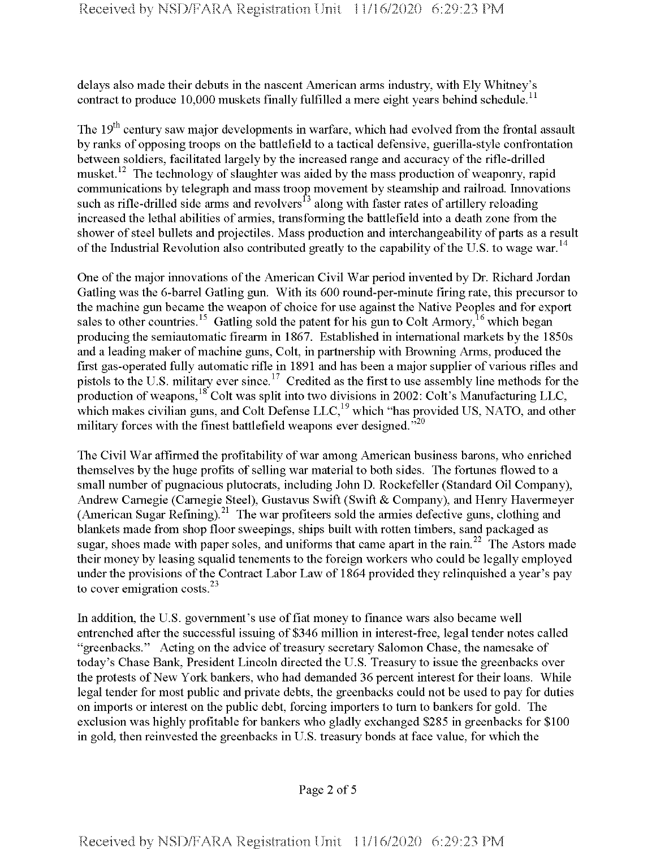delays also made their debuts in the nascent American arms industry, with Ely Whitney's contract to produce 10,000 muskets finally fulfilled a mere eight years behind schedule.<sup>11</sup>

The 19<sup>th</sup> century saw major developments in warfare, which had evolved from the frontal assault by ranks of opposing troops on the battlefield to a tactical defensive, guerilla-style confrontation between soldiers, facilitated largely by the increased range and accuracy of the rifle-drilled musket.<sup>12</sup> The technology of slaughter was aided by the mass production of weaponry, rapid communications by telegraph and mass troop movement by steamship and railroad. Innovations such as rifle-drilled side arms and revolvers<sup>13</sup> along with faster rates of artillery reloading increased the lethal abilities of armies, transforming the battlefield into a death zone from the shower of steel bullets and projectiles. Mass production and interchangeability of parts as a result of the Industrial Revolution also contributed greatly to the capability of the U.S. to wage war.<sup>14</sup>

One of the major innovations of the American Civil War period invented by Dr. Richard Jordan Gatling was the 6-barrel Gatling gun. With its 600 round-per-minute firing rate, this precursorto the machine gun became the weapon of choice for use against the Native Peoples and for export sales to other countries.<sup>15</sup> Gatling sold the patent for his gun to Colt Armory,<sup>16</sup> which began producing the semiautomatic firearm in 1867. Established in international markets by the 1850s and a leading maker of machine guns, Colt, in partnership with Browning Arms, produced the first gas-operated fully automatic rifle in 1891 and has been a major supplier of various rifles and pistols to the U.S. military ever since.<sup>17</sup> Credited as the first to use assembly line methods for the production of weapons,  $^{18}$  Colt was split into two divisions in 2002: Colt's Manufacturing LLC, which makes civilian guns, and Colt Defense  $LLC<sub>19</sub>$  which "has provided US, NATO, and other military forces with the finest battlefield weapons ever designed."<sup>20</sup>

The Civil War affirmed the profitability of war among American business barons, who enriched themselves by the huge profits of selling war material to both sides. The fortunes flowed to a small number of pugnacious plutocrats, including John D. Rockefeller (Standard Oil Company), Andrew Carnegie (Carnegie Steel), Gustavus Swift (Swift & Company), and Henry Havermeyer (American Sugar Refining).<sup>21</sup> The war profiteers sold the armies defective guns, clothing and blankets made from shop floor sweepings, ships built with rotten timbers, sand packaged as sugar, shoes made with paper soles, and uniforms that came apart in the rain.<sup>22</sup> The Astors made their money by leasing squalid tenements to the foreign workers who could be legally employed under the provisions of the Contract Labor Law of 1864 provided they relinquished a year's pay to cover emigration costs. $^{23}$ 

In addition, the U.S. government's use offiat money to finance wars also became well entrenched after the successful issuing of \$346 million in interest-free, legal tender notes called "greenbacks." Acting on the advice of treasury secretary Salomon Chase, the namesake of today's Chase Bank, President Lincoln directed the U.S. Treasury to issue the greenbacks over the protests of New York bankers, who had demanded 36 percent interest for their loans. While legal tender for most public and private debts, the greenbacks could not be used to pay for duties on imports or interest on the public debt, forcing importers to turn to bankers for gold. The exclusion was highly profitable for bankers who gladly exchanged \$285 in greenbacks for \$100 in gold, then reinvested the greenbacks in U.S. treasury bonds at face value, for which the

Page 2 of 5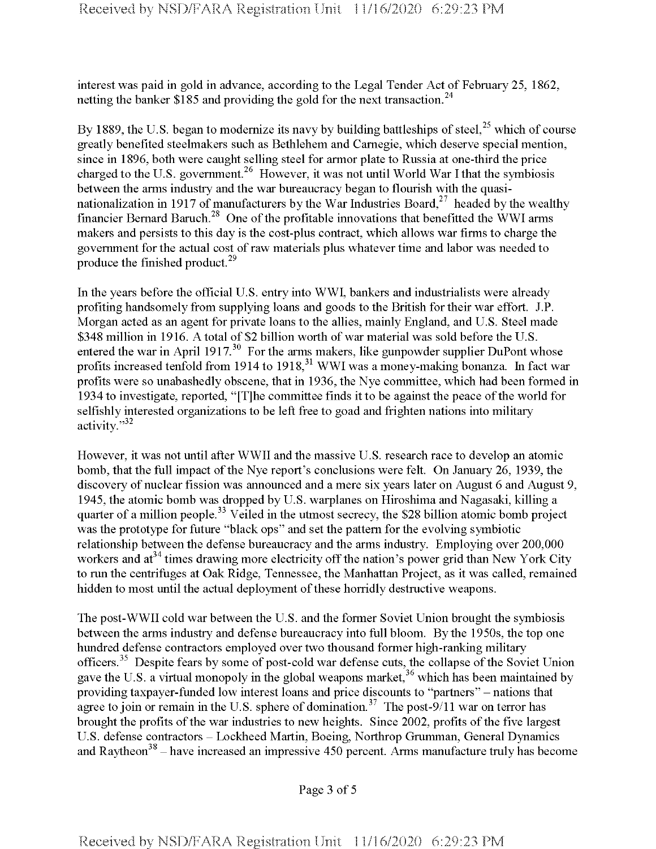interest was paid in gold in advance, according to the Legal Tender Act of February 25, 1862, netting the banker \$185 and providing the gold for the next transaction.<sup>24</sup>

By 1889, the U.S. began to modernize its navy by building battleships of steel,  $2^5$  which of course greatly benefited steelmakers such as Bethlehem and Carnegie, which deserve special mention, since in 1896, both were caught selling steel for armor plate to Russia at one-third the price charged to the U.S. government.<sup>26</sup> However, it was not until World War I that the symbiosis between the arms industry and the war bureaucracy began to flourish with the quasinationalization in 1917 of manufacturers by the War Industries Board,<sup>27</sup> headed by the wealthy financier Bernard Baruch.<sup>28</sup> One of the profitable innovations that benefitted the WWI arms makers and persists to this day is the cost-plus contract, which allows war firms to charge the government for the actual cost of raw materials plus whatever time and labor was needed to produce the finished product.<sup>29</sup>

In the years before the official U.S. entry into WWI, bankers and industrialists were already profiting handsomely from supplying loans and goods to the British for their war effort. J.P. Morgan acted as an agent for private loans to the allies, mainly England, and U.S. Steel made \$348 million in 1916. A total of \$2 billion worth of war material was sold before the U.S. entered the war in April 1917.<sup>30</sup> For the arms makers, like gunpowder supplier DuPont whose profits increased tenfold from 1914 to 1918,<sup>31</sup> WWI was a money-making bonanza. In fact war profits were so unabashedly obscene, that in 1936, the Nye committee, which had been formed in 1934 to investigate, reported, "[T]he committee finds it to be against the peace of the world for selfishly interested organizations to be left free to goad and frighten nations into military activity."32

However, it was not until after WWII and the massive U.S. research race to develop an atomic bomb, that the full impact of the Nye report's conclusions were felt. On January 26, 1939, the discovery of nuclear fission was announced and a mere six years later on August 6 and August 9, 1945, the atomic bomb was dropped by U.S. warplanes on Hiroshima and Nagasaki, killing a quarter of a million people.<sup>33</sup> Veiled in the utmost secrecy, the \$28 billion atomic bomb project was the prototype for future "black ops" and set the pattern for the evolving symbiotic relationship between the defense bureaucracy and the arms industry. Employing over 200,000 workers and  $at^{34}$  times drawing more electricity off the nation's power grid than New York City to run the centrifuges at Oak Ridge, Tennessee, the Manhattan Project, as it was called, remained hidden to most until the actual deployment of these horridly destructive weapons.

The post-WWII cold war between the U.S. and the former Soviet Union brought the symbiosis between the arms industry and defense bureaucracy into full bloom. By the 1950s, the top one hundred defense contractors employed over two thousand former high-ranking military officers.<sup>35</sup> Despite fears by some of post-cold war defense cuts, the collapse of the Soviet Union gave the U.S. a virtual monopoly in the global weapons market,<sup>36</sup> which has been maintained by providing taxpayer-funded low interest loans and price discounts to "partners" - nations that agree to join or remain in the U.S. sphere of domination.<sup>37</sup> The post-9/11 war on terror has brought the profits of the war industries to new heights. Since 2002, profits of the five largest U.S. defense contractors - Lockheed Martin, Boeing, Northrop Grumman, General Dynamics 3.3. defense contractors Econnect Martin, Boenig, Forum op Gramman, General Bynamics<br>and Raytheon<sup>38</sup> – have increased an impressive 450 percent. Arms manufacture truly has become

Page 3 of 5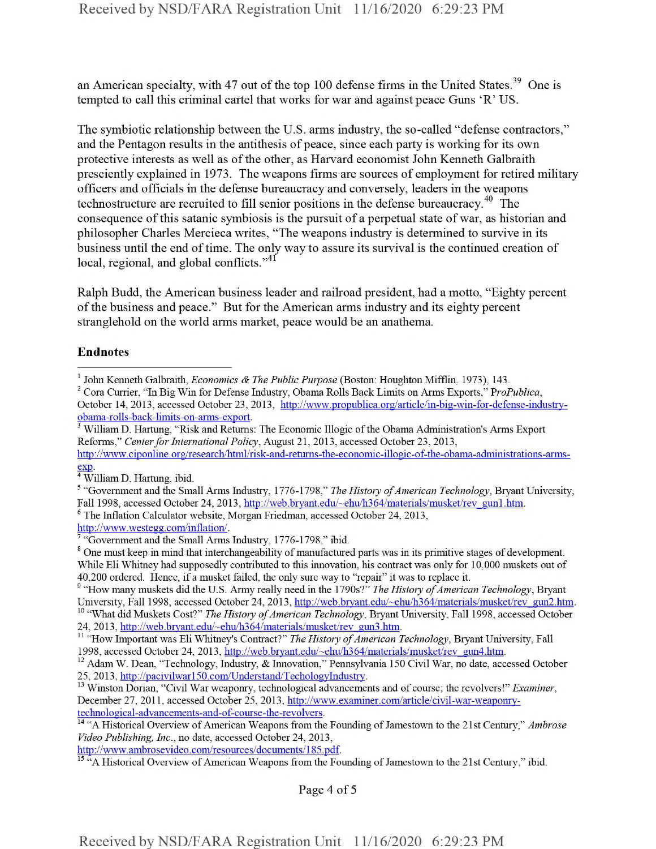an American specialty, with 47 out of the top 100 defense firms in the United States.<sup>39</sup> One is tempted to call this criminal cartel that works for war and against peace Guns 'R' US.

The symbiotic relationship between the U.S. arms industry, the so-called "defense contractors," and the Pentagon results in the antithesis of peace, since each party is working for its own protective interests as well as of the other, as Harvard economist John Kenneth Galbraith presciently explained in 1973. The weapons firms are sources of employment for retired military officers and officials in the defense bureaucracy and conversely, leaders in the weapons technostructure are recruited to fill senior positions in the defense bureaucracy.<sup>40</sup> The consequence of this satanic symbiosis is the pursuit of a perpetual state of war, as historian and philosopher Charles Mercieca writes, "The weapons industry is determined to survive in its business until the end of time. The only way to assure its survival is the continued creation of local, regional, and global conflicts."<sup>41</sup>

Ralph Budd, the American business leader and railroad president, had a motto, "Eighty percent of the business and peace." But for the American arms industry and its eighty percent stranglehold on the world arms market, peace would be an anathema.

## Endnotes

http://www.ambrose video.com/resources/documents/185.pdf.

Page 4 of <sup>5</sup>

<sup>1</sup> John Kenneth Galbraith, *Economics & The Public Purpose* (Boston: Houghton Mifflin, 1973), 143.

<sup>2</sup> Cora Currier, "In Big Win for Defense Industry, Obama Rolls Back Limits on Arms Exports," P*roPublica,* October 14, 2013, accessed October 23, 2013, http://www.propublica.org/article/in-big-win-for-defense-industrvobama-rolls-back-limits-on-arms-export.

<sup>&</sup>lt;sup>3</sup> William D. Hartung, "Risk and Returns: The Economic Illogic of the Obama Administration's Arms Export Reforms," *CenterforInternational Policy,* August 21, 2013, accessed October 23, 2013,

http://www.ciponline.org/research/html/risk-and-returns-the-economic-illogic-of-the-obama-administrations-arms-<u>exp</u>.<br><sup>4</sup> William D. Hartung, ibid.

<sup>&</sup>lt;sup>5</sup> "Government and the Small Arms Industry, 1776-1798," *The History of American Technology*, Bryant University, Fall 1998, accessed October 24, 2013, http://web.bryant.edu/~ehu/h364/materials/musket/rev gun1.htm.

<sup>6</sup> The Inflation Calculator website, Morgan Friedman, accessed October 24, 2013,

http://www.westegg.com/inflation/.

<sup>&</sup>quot;Government and the Small Arms Industry, 1776-1798," ibid.

<sup>&</sup>lt;sup>8</sup> One must keep in mind that interchangeability of manufactured parts was in its primitive stages of development. While Eli Whitney had supposedly contributed to this innovation, his contract was only for 10,000 muskets out of 40,200 ordered. Hence, if a musket failed, the only sure way to "repair" it was to replace it.

<sup>&</sup>lt;sup>9</sup> "How many muskets did the U.S. Army really need in the 1790s?" *The History of American Technology*, Bryant University, Fall 1998, accessed October 24, 2013, http://web.bryant.edu/~ehu/h364/materials/musket/rev\_gun2.htm. <sup>10</sup> "What did Muskets Cost?" *The History of American Technology*, Bryant University, Fall 1998, accessed October

<sup>24, 2013,</sup> http://web.bryant.edu/~ehu/h364/materials/musket/rev\_gun3.htm.

<sup>&</sup>lt;sup>11</sup> "How Important was Eli Whitney's Contract?" *The History of American Technology*, Bryant University, Fall 1998, accessed October 24, 2013, http://web.bryant.edu/~ehu/h364/materials/musket/rev\_gun4.htm.

<sup>&</sup>lt;sup>12</sup> Adam W. Dean, "Technology, Industry, & Innovation," Pennsylvania 150 Civil War, no date, accessed October 25, 2013, http://pacivilwarl50.com/Understand/TechologvIndustrv.

<sup>&</sup>lt;sup>13</sup> Winston Dorian, "Civil War weaponry, technological advancements and of course; the revolvers!" *Examiner*, December 27, 2011, accessed October 25, 2013, http://www.examiner.com/article/civil-war-weaponrytechnological-advancements-and-of-course-the-revolvers.

<sup>&</sup>lt;sup>14</sup> "A Historical Overview of American Weapons from the Founding of Jamestown to the 21st Century," Ambrose *Video Publishing, Inc.,* no date, accessed October 24, 2013,

<sup>&</sup>lt;sup>15</sup> "A Historical Overview of American Weapons from the Founding of Jamestown to the 21st Century," ibid.